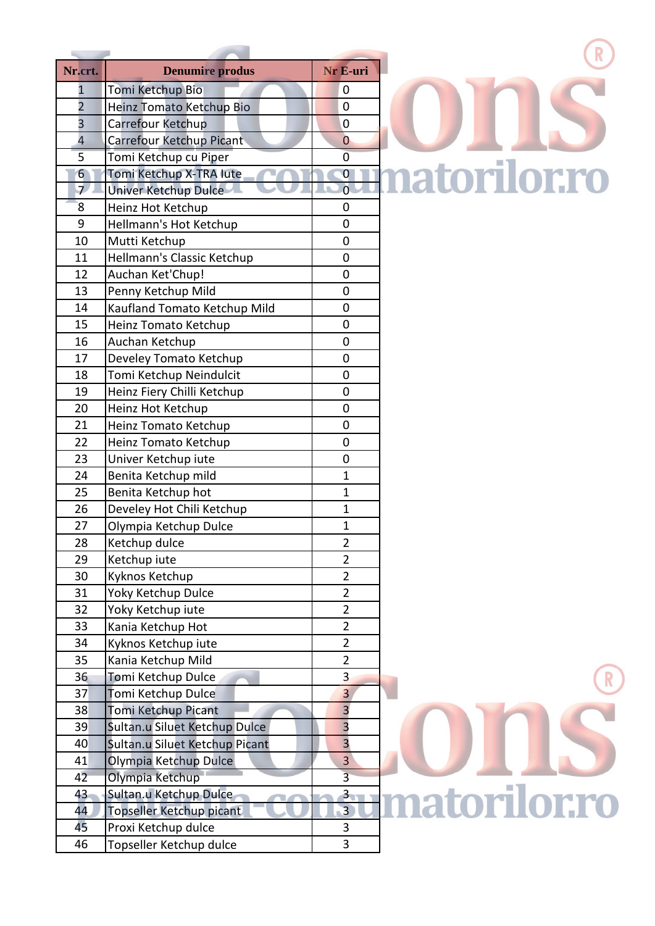| Nr.crt.                 | <b>Denumire produs</b>         | Nr E-uri                |
|-------------------------|--------------------------------|-------------------------|
| 1                       | Tomi Ketchup Bio               | 0                       |
| $\overline{2}$          | Heinz Tomato Ketchup Bio       | 0                       |
| 3                       | Carrefour Ketchup              | 0                       |
| $\overline{\mathbf{4}}$ | Carrefour Ketchup Picant       | 0                       |
| 5                       | Tomi Ketchup cu Piper          | 0                       |
| 6                       | Tomi Ketchup X-TRA lute        | $\bf{0}$                |
| $\overline{7}$          | <b>Univer Ketchup Dulce</b>    | $\overline{0}$          |
| 8                       | Heinz Hot Ketchup              | 0                       |
| 9                       | Hellmann's Hot Ketchup         | 0                       |
| 10                      | Mutti Ketchup                  | 0                       |
| 11                      | Hellmann's Classic Ketchup     | 0                       |
| 12                      | Auchan Ket'Chup!               | 0                       |
| 13                      | Penny Ketchup Mild             | 0                       |
| 14                      | Kaufland Tomato Ketchup Mild   | 0                       |
| 15                      | Heinz Tomato Ketchup           | 0                       |
| 16                      | Auchan Ketchup                 | 0                       |
| 17                      | Develey Tomato Ketchup         | 0                       |
| 18                      | Tomi Ketchup Neindulcit        | 0                       |
| 19                      | Heinz Fiery Chilli Ketchup     | 0                       |
| 20                      | Heinz Hot Ketchup              | 0                       |
| 21                      | Heinz Tomato Ketchup           | 0                       |
| 22                      | Heinz Tomato Ketchup           | 0                       |
| 23                      | Univer Ketchup iute            | 0                       |
| 24                      | Benita Ketchup mild            | $\mathbf{1}$            |
| 25                      | Benita Ketchup hot             | 1                       |
| 26                      | Develey Hot Chili Ketchup      | $\overline{1}$          |
| 27                      | Olympia Ketchup Dulce          | 1                       |
| 28                      | Ketchup dulce                  | $\overline{2}$          |
| 29                      | Ketchup iute                   | $\overline{2}$          |
| 30                      | Kyknos Ketchup                 | 2                       |
| 31                      | Yoky Ketchup Dulce             | $\overline{2}$          |
| 32                      | Yoky Ketchup iute              | $\overline{2}$          |
| 33                      | Kania Ketchup Hot              | $\overline{2}$          |
| 34                      | Kyknos Ketchup iute            | $\overline{2}$          |
| 35                      | Kania Ketchup Mild             | $\overline{2}$          |
| 36                      | Tomi Ketchup Dulce             | 3                       |
| 37                      | Tomi Ketchup Dulce             | 3                       |
| 38                      | Tomi Ketchup Picant            | $\overline{\mathbf{3}}$ |
| 39                      | Sultan.u Siluet Ketchup Dulce  | $\overline{\mathbf{3}}$ |
| 40                      | Sultan.u Siluet Ketchup Picant | 3                       |
| 41                      | Olympia Ketchup Dulce          | 3                       |
| 42                      | Olympia Ketchup                | $\overline{3}$          |
| 43                      | Sultan.u Ketchup Dulce         | $\overline{\mathbf{3}}$ |
| 44                      | Topseller Ketchup picant       | $\overline{\mathbf{3}}$ |
| 45                      | Proxi Ketchup dulce            | 3                       |
| 46                      | Topseller Ketchup dulce        | 3                       |
|                         |                                |                         |

 $\Box B$ 

## matorilor.ro

**matorilor.ro**